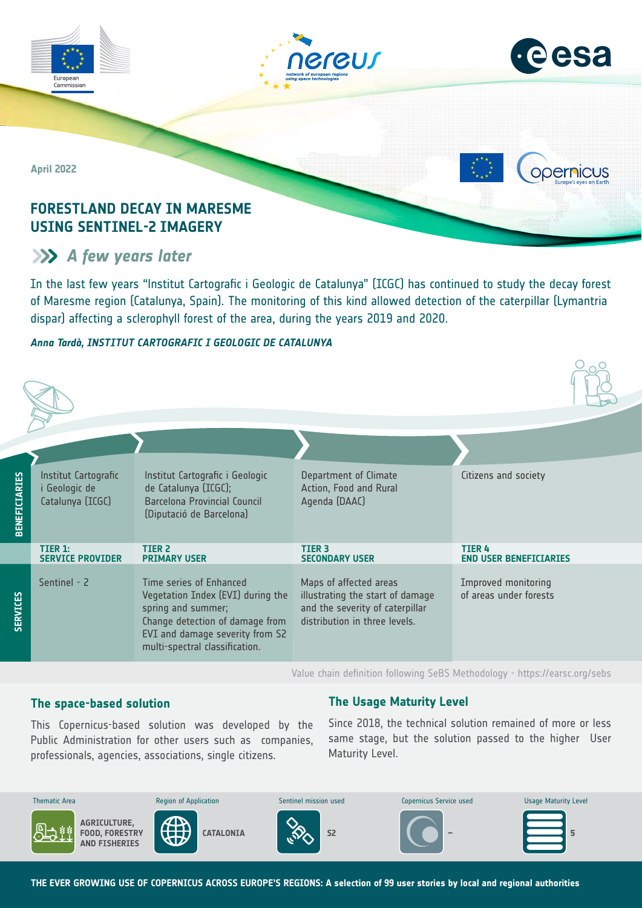

# **A** few years later

In the last few years "lnstitut Cartografic i Geologic de Catalunya" (ICGC) has continued to study the decay forest of Maresme region (Catalunya, Spain). The monitoring of this kind allowed detection of the caterpillar (Lymantria dispar) affecting a sclerophyll forest of the area, during the years 2019 and 2020.

# *Anna Tardà, INSTITUT CARTOGRAFIC I GEOLOGIC DE CATALUNYA*

| <b>BENEFICIARIES</b> | Institut Cartografic<br>i Geologic de<br>Catalunya (ICGC) | Institut Cartografic i Geologic<br>de Catalunya (ICGC);<br><b>Barcelona Provincial Council</b><br>(Diputació de Barcelona)                                                                 | Department of Climate<br>Action, Food and Rural<br>Agenda (DAAC)                                                               | Citizens and society                                 |
|----------------------|-----------------------------------------------------------|--------------------------------------------------------------------------------------------------------------------------------------------------------------------------------------------|--------------------------------------------------------------------------------------------------------------------------------|------------------------------------------------------|
|                      | TIER 1:<br><b>SERVICE PROVIDER</b>                        | <b>TIER 2</b><br><b>PRIMARY USER</b>                                                                                                                                                       | <b>TIER 3</b><br><b>SECONDARY USER</b>                                                                                         | <b>TIER4</b><br><b>END USER BENEFICIARIES</b>        |
| <b>SERVICES</b>      | Sentinel - 2                                              | Time series of Enhanced<br>Vegetation Index (EVI) during the<br>spring and summer;<br>Change detection of damage from<br>EVI and damage severity from S2<br>multi-spectral classification. | Maps of affected areas<br>illustrating the start of damage<br>and the severity of caterpillar<br>distribution in three levels. | <b>Improved monitoring</b><br>of areas under forests |

Value chain definition following SeBS Methodology -<https://earsc.org/sebs>

# **The space-based solution**

Protection

professionals, agencies, associations, single citizens. This Copernicus-based solution was developed by the Public Administration for other users such as companies,

# **The Usage Maturity Level**

Since 2018, the technical solution remained of more or less same stage, but the solution passed to the higher User Maturity Level.



**THE EVER GROWING USE OF COPERNICUS ACROSS EUROPE'S REGIONS: A selection of 99 user stories by local and regional authorities**